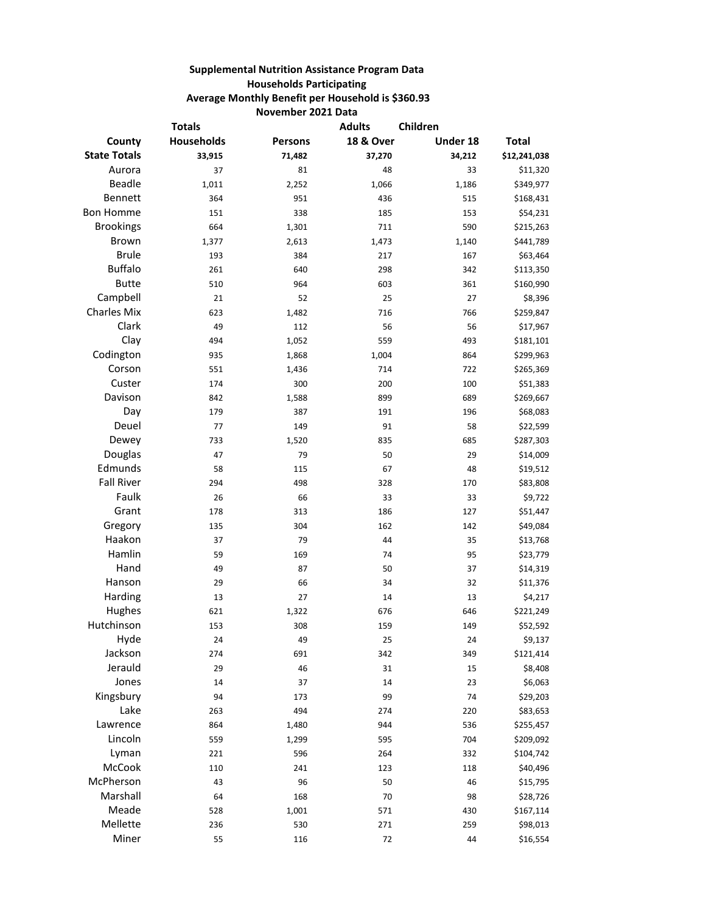## **Supplemental Nutrition Assistance Program Data Households Participating Average Monthly Benefit per Household is \$360.93 November 2021 Data**

| <b>Totals</b>       |            |         | <b>Adults</b>        | Children |              |
|---------------------|------------|---------|----------------------|----------|--------------|
| County              | Households | Persons | <b>18 &amp; Over</b> | Under 18 | <b>Total</b> |
| <b>State Totals</b> | 33,915     | 71,482  | 37,270               | 34,212   | \$12,241,038 |
| Aurora              | 37         | 81      | 48                   | 33       | \$11,320     |
| Beadle              | 1,011      | 2,252   | 1,066                | 1,186    | \$349,977    |
| Bennett             | 364        | 951     | 436                  | 515      | \$168,431    |
| <b>Bon Homme</b>    | 151        | 338     | 185                  | 153      | \$54,231     |
| <b>Brookings</b>    | 664        | 1,301   | 711                  | 590      | \$215,263    |
| Brown               | 1,377      | 2,613   | 1,473                | 1,140    | \$441,789    |
| <b>Brule</b>        | 193        | 384     | 217                  | 167      | \$63,464     |
| <b>Buffalo</b>      | 261        | 640     | 298                  | 342      | \$113,350    |
| <b>Butte</b>        | 510        | 964     | 603                  | 361      | \$160,990    |
| Campbell            | 21         | 52      | 25                   | 27       | \$8,396      |
| <b>Charles Mix</b>  | 623        | 1,482   | 716                  | 766      | \$259,847    |
| Clark               | 49         | 112     | 56                   | 56       | \$17,967     |
| Clay                | 494        | 1,052   | 559                  | 493      | \$181,101    |
| Codington           | 935        | 1,868   | 1,004                | 864      | \$299,963    |
| Corson              | 551        | 1,436   | 714                  | 722      | \$265,369    |
| Custer              | 174        | 300     | 200                  | 100      | \$51,383     |
| Davison             | 842        | 1,588   | 899                  | 689      | \$269,667    |
| Day                 | 179        | 387     | 191                  | 196      | \$68,083     |
| Deuel               | 77         | 149     | 91                   | 58       | \$22,599     |
| Dewey               | 733        | 1,520   | 835                  | 685      | \$287,303    |
| Douglas             | 47         | 79      | 50                   | 29       | \$14,009     |
| Edmunds             | 58         | 115     | 67                   | 48       | \$19,512     |
| <b>Fall River</b>   | 294        | 498     | 328                  | 170      | \$83,808     |
| Faulk               | 26         | 66      | 33                   | 33       | \$9,722      |
| Grant               | 178        | 313     | 186                  | 127      | \$51,447     |
| Gregory             | 135        | 304     | 162                  | 142      | \$49,084     |
| Haakon              | 37         | 79      | 44                   | 35       | \$13,768     |
| Hamlin              | 59         | 169     | 74                   | 95       | \$23,779     |
| Hand                | 49         | 87      | 50                   | 37       | \$14,319     |
| Hanson              | 29         | 66      | 34                   | 32       | \$11,376     |
| Harding             | 13         | 27      | 14                   | 13       | \$4,217      |
| Hughes              | 621        | 1,322   | 676                  | 646      | \$221,249    |
| Hutchinson          | 153        | 308     | 159                  | 149      | \$52,592     |
| Hyde                | 24         | 49      | 25                   | 24       | \$9,137      |
| Jackson             | 274        | 691     | 342                  | 349      | \$121,414    |
| Jerauld             | 29         | 46      | 31                   | 15       | \$8,408      |
| Jones               | 14         | 37      | 14                   | 23       | \$6,063      |
| Kingsbury           | 94         | 173     | 99                   | 74       | \$29,203     |
| Lake                | 263        | 494     | 274                  | 220      | \$83,653     |
| Lawrence            | 864        | 1,480   | 944                  | 536      | \$255,457    |
| Lincoln             | 559        | 1,299   | 595                  | 704      | \$209,092    |
| Lyman               | 221        | 596     | 264                  | 332      | \$104,742    |
| McCook              | 110        | 241     | 123                  | 118      | \$40,496     |
| McPherson           | 43         | 96      | 50                   | 46       | \$15,795     |
| Marshall            | 64         | 168     | 70                   | 98       | \$28,726     |
| Meade               | 528        | 1,001   | 571                  | 430      | \$167,114    |
| Mellette            | 236        | 530     | 271                  | 259      | \$98,013     |
| Miner               | 55         | 116     | 72                   | 44       | \$16,554     |